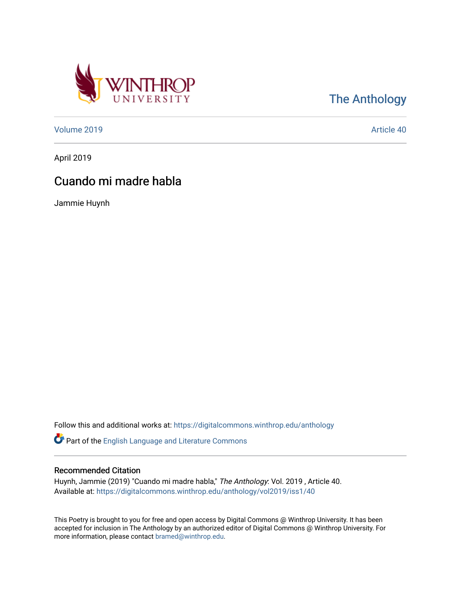

[The Anthology](https://digitalcommons.winthrop.edu/anthology) 

[Volume 2019](https://digitalcommons.winthrop.edu/anthology/vol2019) [Article 40](https://digitalcommons.winthrop.edu/anthology/vol2019/iss1/40) 

April 2019

## Cuando mi madre habla

Jammie Huynh

Follow this and additional works at: [https://digitalcommons.winthrop.edu/anthology](https://digitalcommons.winthrop.edu/anthology?utm_source=digitalcommons.winthrop.edu%2Fanthology%2Fvol2019%2Fiss1%2F40&utm_medium=PDF&utm_campaign=PDFCoverPages) 

Part of the [English Language and Literature Commons](http://network.bepress.com/hgg/discipline/455?utm_source=digitalcommons.winthrop.edu%2Fanthology%2Fvol2019%2Fiss1%2F40&utm_medium=PDF&utm_campaign=PDFCoverPages)

## Recommended Citation

Huynh, Jammie (2019) "Cuando mi madre habla," The Anthology: Vol. 2019 , Article 40. Available at: [https://digitalcommons.winthrop.edu/anthology/vol2019/iss1/40](https://digitalcommons.winthrop.edu/anthology/vol2019/iss1/40?utm_source=digitalcommons.winthrop.edu%2Fanthology%2Fvol2019%2Fiss1%2F40&utm_medium=PDF&utm_campaign=PDFCoverPages) 

This Poetry is brought to you for free and open access by Digital Commons @ Winthrop University. It has been accepted for inclusion in The Anthology by an authorized editor of Digital Commons @ Winthrop University. For more information, please contact [bramed@winthrop.edu](mailto:bramed@winthrop.edu).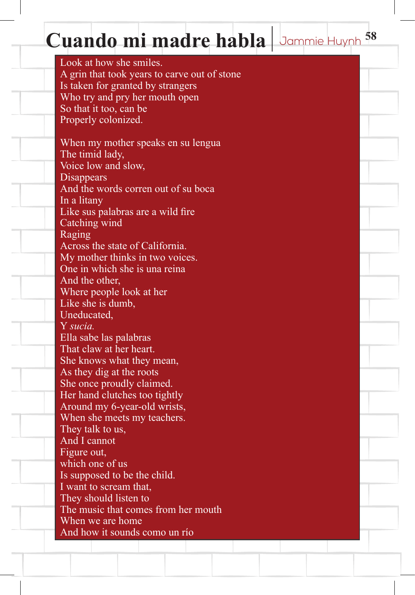## Cuando mi madre habla Jammie Huynh 58

Look at how she smiles. A grin that took years to carve out of stone Is taken for granted by strangers Who try and pry her mouth open So that it too, can be Properly colonized. When my mother speaks en su lengua The timid lady, Voice low and slow, Disappears And the words corren out of su boca In a litany

Like sus palabras are a wild fire Catching wind Raging Across the state of California.

My mother thinks in two voices. One in which she is una reina And the other,

Where people look at her

Like she is dumb, Uneducated,

Y *sucia.*

Ella sabe las palabras That claw at her heart.

She knows what they mean,

As they dig at the roots

She once proudly claimed.

Her hand clutches too tightly

Around my 6-year-old wrists,

When she meets my teachers.

They talk to us, And I cannot

Figure out,

which one of us

Is supposed to be the child.

I want to scream that,

They should listen to

The music that comes from her mouth

When we are home

And how it sounds como un río